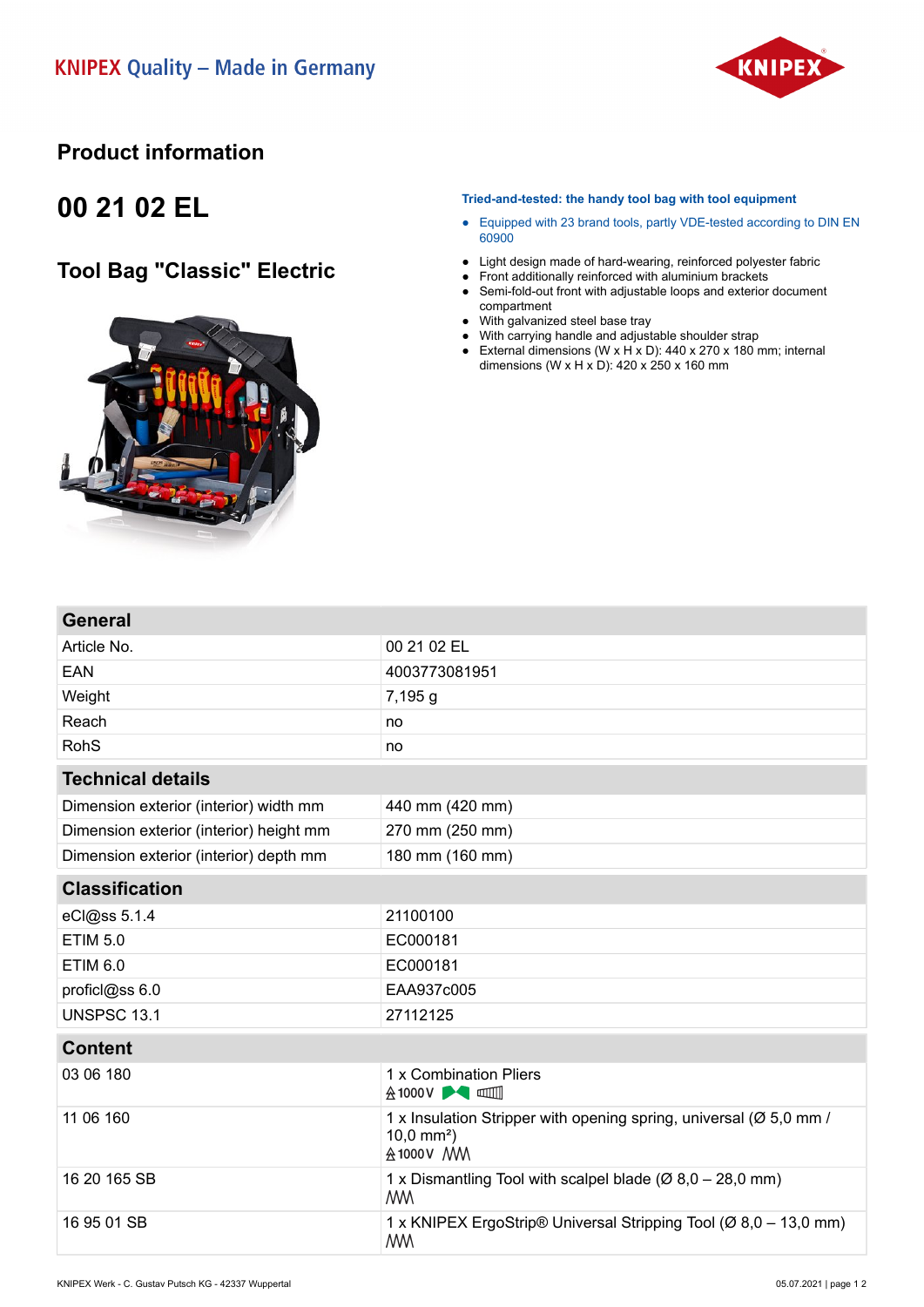

#### **Product information**

## **00 21 02 EL**

### **Tool Bag "Classic" Electric**



#### **Tried-and-tested: the handy tool bag with tool equipment**

- Equipped with 23 brand tools, partly VDE-tested according to DIN EN 60900
- Light design made of hard-wearing, reinforced polyester fabric
- Front additionally reinforced with aluminium brackets
- Semi-fold-out front with adjustable loops and exterior document compartment
- With galvanized steel base tray
- With carrying handle and adjustable shoulder strap
- External dimensions  $(W \times H \times D)$ : 440 x 270 x 180 mm; internal dimensions (W x H x D):  $420 \times 250 \times 160$  mm

| <b>General</b>                          |                                                                                                            |
|-----------------------------------------|------------------------------------------------------------------------------------------------------------|
| Article No.                             | 00 21 02 EL                                                                                                |
| EAN                                     | 4003773081951                                                                                              |
| Weight                                  | 7,195 g                                                                                                    |
| Reach                                   | no                                                                                                         |
| <b>RohS</b>                             | no                                                                                                         |
| <b>Technical details</b>                |                                                                                                            |
| Dimension exterior (interior) width mm  | 440 mm (420 mm)                                                                                            |
| Dimension exterior (interior) height mm | 270 mm (250 mm)                                                                                            |
| Dimension exterior (interior) depth mm  | 180 mm (160 mm)                                                                                            |
| <b>Classification</b>                   |                                                                                                            |
| eCl@ss 5.1.4                            | 21100100                                                                                                   |
| <b>ETIM 5.0</b>                         | EC000181                                                                                                   |
| <b>ETIM 6.0</b>                         | EC000181                                                                                                   |
| proficl@ss 6.0                          | EAA937c005                                                                                                 |
| <b>UNSPSC 13.1</b>                      | 27112125                                                                                                   |
| <b>Content</b>                          |                                                                                                            |
| 03 06 180                               | 1 x Combination Pliers<br><b>A1000V ▶● □□</b>                                                              |
| 11 06 160                               | 1 x Insulation Stripper with opening spring, universal (Ø 5,0 mm /<br>$10,0 \text{ mm}^2$ )<br>A 1000 V MM |
| 16 20 165 SB                            | 1 x Dismantling Tool with scalpel blade ( $\varnothing$ 8,0 - 28,0 mm)<br><b>MM</b>                        |
| 16 95 01 SB                             | 1 x KNIPEX ErgoStrip® Universal Stripping Tool (Ø 8,0 – 13,0 mm)<br><b>MM</b>                              |